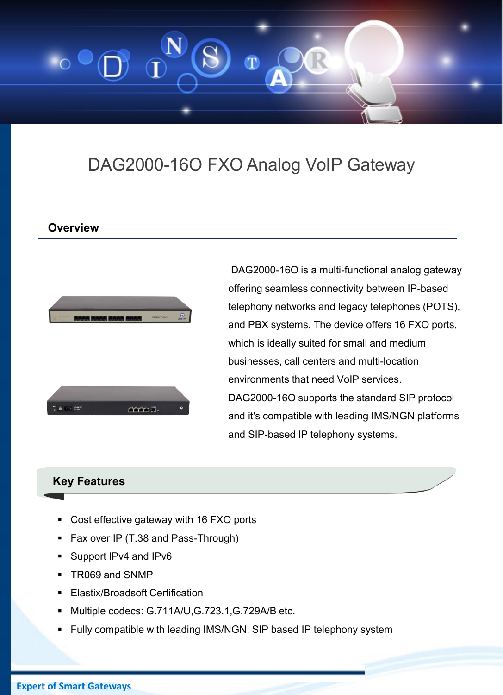

# DAG2000-16O FXO Analog VoIP Gateway

### **Overview**



DAG2000-16O is a multi-functional analog gateway offering seamless connectivity between IP-based telephony networks and legacy telephones (POTS), and PBX systems. The device offers 16 FXO ports, which is ideally suited for small and medium businesses, call centers and multi-location environments that need VoIP services. DAG2000-16O supports the standard SIP protocol and it's compatible with leading IMS/NGN platforms and SIP-based IP telephony systems.

### **Key Features**

- Cost effective gateway with 16 FXO ports
- Fax over IP (T.38 and Pass-Through)
- **Support IPv4 and IPv6**
- TR069 and SNMP
- Elastix/Broadsoft Certification
- Multiple codecs: G.711A/U,G.723.1,G.729A/B etc.
- Fully compatible with leading IMS/NGN, SIP based IP telephony system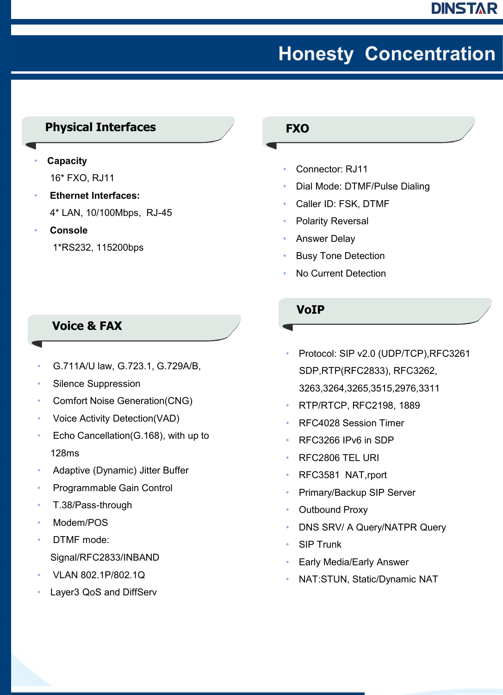# **Honesty Concentration**

## **Physical Interfaces**

- **Capacity** 16\* FXO, RJ11
- **Ethernet Interfaces:**  4\* LAN, 10/100Mbps, RJ-45
- **Console** 1\*RS232, 115200bps

### **Voice & FAX**

- G.711A/U law, G.723.1, G.729A/B,
- Silence Suppression
- Comfort Noise Generation(CNG)
- Voice Activity Detection(VAD)
- Echo Cancellation(G.168), with up to 128ms
- Adaptive (Dynamic) Jitter Buffer
- Programmable Gain Control
- T.38/Pass-through
- Modem/POS
- DTMF mode: Signal/RFC2833/INBAND
- VLAN 802.1P/802.1Q
- Layer3 QoS and DiffServ

#### **FXO**

- Connector: RJ11
- Dial Mode: DTMF/Pulse Dialing
- Caller ID: FSK, DTMF
- Polarity Reversal
- Answer Delay
- **Busy Tone Detection**
- No Current Detection

#### **VoIP**

- Protocol: SIP v2.0 (UDP/TCP),RFC3261 SDP,RTP(RFC2833), RFC3262, 3263,3264,3265,3515,2976,3311
- RTP/RTCP, RFC2198, 1889
- RFC4028 Session Timer
- RFC3266 IPv6 in SDP
- RFC2806 TEL URI
- RFC3581 NAT,rport
- Primary/Backup SIP Server
- Outbound Proxy
- DNS SRV/ A Query/NATPR Query
- **SIP Trunk**
- Early Media/Early Answer
- NAT:STUN, Static/Dynamic NAT